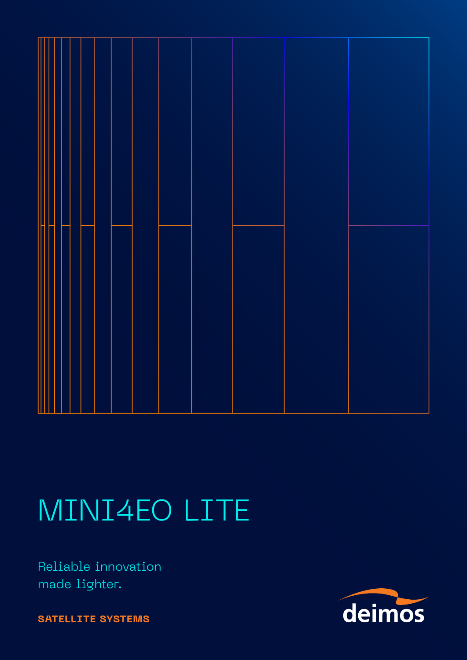

## MINI4EO LITE

Reliable innovation made lighter.

**SATELLITE SYSTEMS**

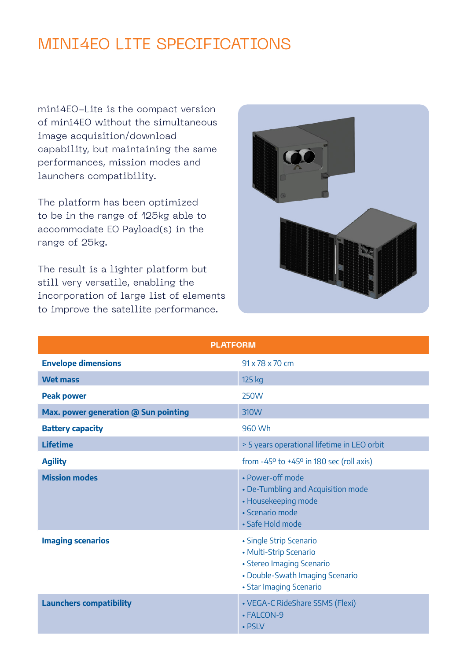## MINI4EO LITE SPECIFICATIONS

mini4EO-Lite is the compact version of mini4EO without the simultaneous image acquisition/download capability, but maintaining the same performances, mission modes and launchers compatibility.

The platform has been optimized to be in the range of 125kg able to accommodate EO Payload(s) in the range of 25kg.

The result is a lighter platform but still very versatile, enabling the incorporation of large list of elements to improve the satellite performance.



| <b>PLATFORM</b>                      |                                                                                                                                              |  |
|--------------------------------------|----------------------------------------------------------------------------------------------------------------------------------------------|--|
| <b>Envelope dimensions</b>           | 91 x 78 x 70 cm                                                                                                                              |  |
| <b>Wet mass</b>                      | 125 kg                                                                                                                                       |  |
| <b>Peak power</b>                    | <b>250W</b>                                                                                                                                  |  |
| Max. power generation @ Sun pointing | 310W                                                                                                                                         |  |
| <b>Battery capacity</b>              | 960 Wh                                                                                                                                       |  |
| <b>Lifetime</b>                      | > 5 years operational lifetime in LEO orbit                                                                                                  |  |
| <b>Agility</b>                       | from $-45^{\circ}$ to $+45^{\circ}$ in 180 sec (roll axis)                                                                                   |  |
| <b>Mission modes</b>                 | • Power-off mode<br>• De-Tumbling and Acquisition mode<br>• Housekeeping mode<br>· Scenario mode<br>• Safe Hold mode                         |  |
| <b>Imaging scenarios</b>             | • Single Strip Scenario<br>• Multi-Strip Scenario<br>• Stereo Imaging Scenario<br>• Double-Swath Imaging Scenario<br>• Star Imaging Scenario |  |
| <b>Launchers compatibility</b>       | • VEGA-C RideShare SSMS (Flexi)<br>• FALCON-9<br>• PSLV                                                                                      |  |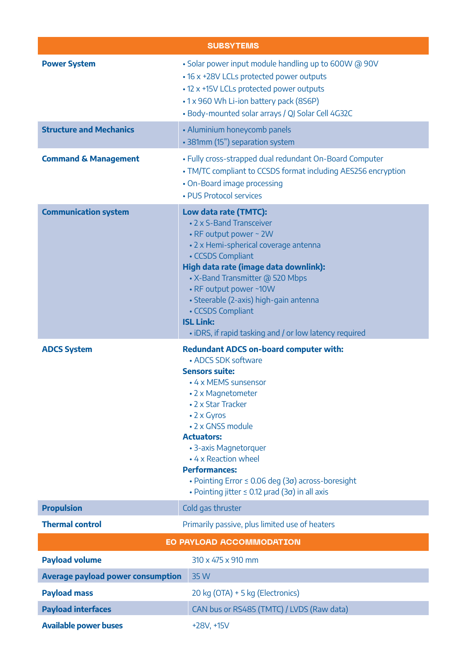| <b>SUBSYTEMS</b>                         |                                                                                                                                                                                                                                                                                                                                                                                                                                        |
|------------------------------------------|----------------------------------------------------------------------------------------------------------------------------------------------------------------------------------------------------------------------------------------------------------------------------------------------------------------------------------------------------------------------------------------------------------------------------------------|
| <b>Power System</b>                      | . Solar power input module handling up to 600W @ 90V<br>• 16 x +28V LCLs protected power outputs<br>• 12 x +15V LCLs protected power outputs<br>•1 x 960 Wh Li-ion battery pack (8S6P)<br>• Body-mounted solar arrays / QJ Solar Cell 4G32C                                                                                                                                                                                            |
| <b>Structure and Mechanics</b>           | • Aluminium honeycomb panels<br>• 381mm (15") separation system                                                                                                                                                                                                                                                                                                                                                                        |
| <b>Command &amp; Management</b>          | • Fully cross-strapped dual redundant On-Board Computer<br>• TM/TC compliant to CCSDS format including AES256 encryption<br>• On-Board image processing<br>• PUS Protocol services                                                                                                                                                                                                                                                     |
| <b>Communication system</b>              | Low data rate (TMTC):<br>• 2 x S-Band Transceiver<br>• RF output power ~ 2W<br>• 2 x Hemi-spherical coverage antenna<br>• CCSDS Compliant<br>High data rate (image data downlink):<br>• X-Band Transmitter @ 520 Mbps<br>• RF output power ~10W<br>· Steerable (2-axis) high-gain antenna<br>• CCSDS Compliant<br><b>ISL Link:</b><br>• iDRS, if rapid tasking and / or low latency required                                           |
| <b>ADCS System</b>                       | <b>Redundant ADCS on-board computer with:</b><br>• ADCS SDK software<br><b>Sensors suite:</b><br>• 4 x MEMS sunsensor<br>• 2 x Magnetometer<br>• 2 x Star Tracker<br>• 2 x Gyros<br>• 2 x GNSS module<br><b>Actuators:</b><br>• 3-axis Magnetorquer<br>• 4 x Reaction wheel<br><b>Performances:</b><br>• Pointing Error $\leq$ 0.06 deg (3 $\sigma$ ) across-boresight<br>• Pointing jitter $\leq$ 0.12 µrad (3 $\sigma$ ) in all axis |
| <b>Propulsion</b>                        | Cold gas thruster                                                                                                                                                                                                                                                                                                                                                                                                                      |
| <b>Thermal control</b>                   | Primarily passive, plus limited use of heaters                                                                                                                                                                                                                                                                                                                                                                                         |
| <b>EO PAYLOAD ACCOMMODATION</b>          |                                                                                                                                                                                                                                                                                                                                                                                                                                        |
| <b>Payload volume</b>                    | 310 x 475 x 910 mm                                                                                                                                                                                                                                                                                                                                                                                                                     |
| <b>Average payload power consumption</b> | 35 W                                                                                                                                                                                                                                                                                                                                                                                                                                   |
| <b>Payload mass</b>                      | 20 kg (OTA) + 5 kg (Electronics)                                                                                                                                                                                                                                                                                                                                                                                                       |
| <b>Payload interfaces</b>                | CAN bus or RS485 (TMTC) / LVDS (Raw data)                                                                                                                                                                                                                                                                                                                                                                                              |
| <b>Available power buses</b>             | +28V, +15V                                                                                                                                                                                                                                                                                                                                                                                                                             |